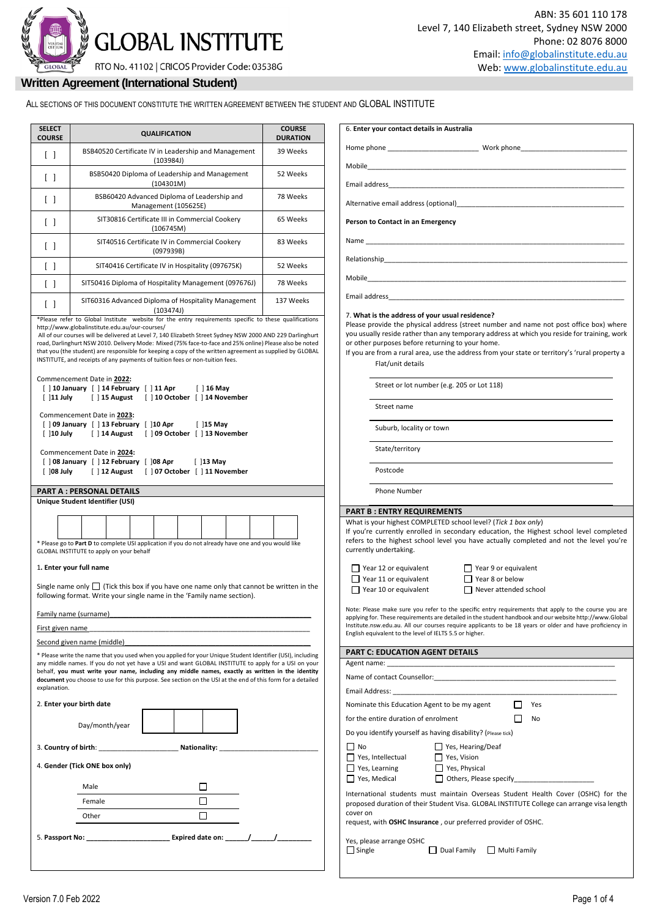# **GLOBAL INSTITUTE** RTO No. 41102 | CRICOS Provider Code: 03538G

Work phone

## **Written Agreement (International Student)**

ALL SECTIONS OF THIS DOCUMENT CONSTITUTE THE WRITTEN AGREEMENT BETWEEN THE STUDENT AND GLOBAL INSTITUTE

| <b>COURSE</b>              | <b>QUALIFICATION</b>                                                                                                                                                                                                                                                                                                                                                                                                                | <b>COURSE</b><br><b>DURATION</b> | 6. Enter your contact details in Australia                                                                                                                                                                                                                                                    |
|----------------------------|-------------------------------------------------------------------------------------------------------------------------------------------------------------------------------------------------------------------------------------------------------------------------------------------------------------------------------------------------------------------------------------------------------------------------------------|----------------------------------|-----------------------------------------------------------------------------------------------------------------------------------------------------------------------------------------------------------------------------------------------------------------------------------------------|
| $\Box$                     | BSB40520 Certificate IV in Leadership and Management<br>(103984)                                                                                                                                                                                                                                                                                                                                                                    | 39 Weeks                         |                                                                                                                                                                                                                                                                                               |
| $\Box$                     | BSB50420 Diploma of Leadership and Management<br>(104301M)                                                                                                                                                                                                                                                                                                                                                                          | 52 Weeks                         |                                                                                                                                                                                                                                                                                               |
| $\Box$                     | BSB60420 Advanced Diploma of Leadership and                                                                                                                                                                                                                                                                                                                                                                                         | 78 Weeks                         | Alternative email address (optional)                                                                                                                                                                                                                                                          |
| $\Box$                     | Management (105625E)<br>SIT30816 Certificate III in Commercial Cookery                                                                                                                                                                                                                                                                                                                                                              | 65 Weeks                         | Person to Contact in an Emergency                                                                                                                                                                                                                                                             |
|                            | (106745M)<br>SIT40516 Certificate IV in Commercial Cookery                                                                                                                                                                                                                                                                                                                                                                          | 83 Weeks                         |                                                                                                                                                                                                                                                                                               |
| $\Box$                     | (097939B)                                                                                                                                                                                                                                                                                                                                                                                                                           |                                  |                                                                                                                                                                                                                                                                                               |
| $\lceil \ \rceil$          | SIT40416 Certificate IV in Hospitality (097675K)                                                                                                                                                                                                                                                                                                                                                                                    | 52 Weeks                         |                                                                                                                                                                                                                                                                                               |
| $\Box$                     | SIT50416 Diploma of Hospitality Management (097676J)                                                                                                                                                                                                                                                                                                                                                                                | 78 Weeks                         | Email address and the state of the state of the state of the state of the state of the state of the state of the state of the state of the state of the state of the state of the state of the state of the state of the state                                                                |
| $\Box$                     | SIT60316 Advanced Diploma of Hospitality Management<br>(103474)<br>*Please refer to Global Institute website for the entry requirements specific to these qualifications                                                                                                                                                                                                                                                            | 137 Weeks                        | 7. What is the address of your usual reside                                                                                                                                                                                                                                                   |
| $[$ 11 July<br>$[$ 10 July | INSTITUTE, and receipts of any payments of tuition fees or non-tuition fees.<br>Commencement Date in 2022:<br>[ ] 10 January [ ] 14 February [ ] 11 Apr<br>$\lceil$ 16 May<br>[] 15 August [] 10 October [] 14 November<br>Commencement Date in 2023:<br>[] 09 January [] 13 February [] 10 Apr<br>[ ]15 May<br>[] 14 August [] 09 October [] 13 November<br>Commencement Date in 2024:                                             |                                  | If you are from a rural area, use the address<br>Flat/unit details<br>Street or lot number (e.g. 205 or L<br>Street name<br>Suburb, locality or town<br>State/territory                                                                                                                       |
| $[$ 108 July               | [ ] 08 January [ ] 12 February [ ] 08 Apr<br>[ ]13 May<br>[] 12 August [] 07 October [] 11 November                                                                                                                                                                                                                                                                                                                                 |                                  | Postcode                                                                                                                                                                                                                                                                                      |
|                            | <b>PART A : PERSONAL DETAILS</b>                                                                                                                                                                                                                                                                                                                                                                                                    |                                  | Phone Number                                                                                                                                                                                                                                                                                  |
|                            | Unique Student Identifier (USI)                                                                                                                                                                                                                                                                                                                                                                                                     |                                  | <b>PART B: ENTRY REQUIREMENTS</b>                                                                                                                                                                                                                                                             |
|                            | * Please go to Part D to complete USI application if you do not already have one and you would like<br>GLOBAL INSTITUTE to apply on your behalf<br>1. Enter your full name<br>Single name only $\Box$ (Tick this box if you have one name only that cannot be written in the<br>following format. Write your single name in the 'Family name section).                                                                              |                                  | What is your highest COMPLETED school lev<br>If you're currently enrolled in secondary $\epsilon$<br>refers to the highest school level you hav<br>currently undertaking.<br>□ Y<br>$\Box$ Year 12 or equivalent<br>ΠY<br>$\Box$ Year 11 or equivalent<br>$\Box$ Year 10 or equivalent<br>א ⊡ |
|                            | Family name (surname)                                                                                                                                                                                                                                                                                                                                                                                                               |                                  | Note: Please make sure you refer to the specific<br>applying for. These requirements are detailed in the                                                                                                                                                                                      |
| First given name           |                                                                                                                                                                                                                                                                                                                                                                                                                                     |                                  | Institute.nsw.edu.au. All our courses require appl<br>English equivalent to the level of IELTS 5.5 or highe                                                                                                                                                                                   |
|                            |                                                                                                                                                                                                                                                                                                                                                                                                                                     |                                  |                                                                                                                                                                                                                                                                                               |
|                            | Second given name (middle)                                                                                                                                                                                                                                                                                                                                                                                                          |                                  |                                                                                                                                                                                                                                                                                               |
|                            | * Please write the name that you used when you applied for your Unique Student Identifier (USI), including<br>any middle names. If you do not yet have a USI and want GLOBAL INSTITUTE to apply for a USI on your<br>behalf, you must write your name, including any middle names, exactly as written in the identity<br>document you choose to use for this purpose. See section on the USI at the end of this form for a detailed |                                  | <b>PART C: EDUCATION AGENT DETAILS</b><br>Name of contact Counsellor: _____________                                                                                                                                                                                                           |
|                            | 2. Enter your birth date                                                                                                                                                                                                                                                                                                                                                                                                            |                                  | Nominate this Education Agent to be my ag                                                                                                                                                                                                                                                     |
|                            | Day/month/year                                                                                                                                                                                                                                                                                                                                                                                                                      |                                  | for the entire duration of enrolment                                                                                                                                                                                                                                                          |
|                            |                                                                                                                                                                                                                                                                                                                                                                                                                                     |                                  | Do you identify yourself as having disability<br>$\Box$ No                                                                                                                                                                                                                                    |
| explanation.               | 3. Country of birth: Nationality:<br>4. Gender (Tick ONE box only)                                                                                                                                                                                                                                                                                                                                                                  |                                  | $\Box$ Yes, Hearin<br>$\Box$ Yes, Intellectual<br>$\Box$ Yes, Vision<br>$\Box$ Yes, Learning<br>$\Box$ Yes, Physic                                                                                                                                                                            |
|                            | Male                                                                                                                                                                                                                                                                                                                                                                                                                                |                                  | Yes, Medical<br>$\Box$ Others, Ple                                                                                                                                                                                                                                                            |
|                            | п<br>Female                                                                                                                                                                                                                                                                                                                                                                                                                         |                                  | International students must maintain Ov<br>proposed duration of their Student Visa. GL                                                                                                                                                                                                        |
|                            | П<br>Other                                                                                                                                                                                                                                                                                                                                                                                                                          |                                  | cover on<br>request, with OSHC Insurance, our preferre                                                                                                                                                                                                                                        |

| Mobile |                                                                                                                                                                                                                                                                                                                                                                                                                     |
|--------|---------------------------------------------------------------------------------------------------------------------------------------------------------------------------------------------------------------------------------------------------------------------------------------------------------------------------------------------------------------------------------------------------------------------|
|        |                                                                                                                                                                                                                                                                                                                                                                                                                     |
|        | Alternative email address (optional) Alternative emails                                                                                                                                                                                                                                                                                                                                                             |
|        | Person to Contact in an Emergency                                                                                                                                                                                                                                                                                                                                                                                   |
|        | Name and the contract of the contract of the contract of the contract of the contract of the contract of the contract of the contract of the contract of the contract of the contract of the contract of the contract of the c                                                                                                                                                                                      |
|        |                                                                                                                                                                                                                                                                                                                                                                                                                     |
|        |                                                                                                                                                                                                                                                                                                                                                                                                                     |
|        |                                                                                                                                                                                                                                                                                                                                                                                                                     |
|        | 7. What is the address of your usual residence?<br>Please provide the physical address (street number and name not post office box) where<br>you usually reside rather than any temporary address at which you reside for training, work<br>or other purposes before returning to your home.<br>If you are from a rural area, use the address from your state or territory's 'rural property a<br>Flat/unit details |
|        | Street or lot number (e.g. 205 or Lot 118)                                                                                                                                                                                                                                                                                                                                                                          |
|        | Street name                                                                                                                                                                                                                                                                                                                                                                                                         |
|        | Suburb, locality or town                                                                                                                                                                                                                                                                                                                                                                                            |
|        | State/territory                                                                                                                                                                                                                                                                                                                                                                                                     |
|        | Postcode                                                                                                                                                                                                                                                                                                                                                                                                            |
|        | Phone Number                                                                                                                                                                                                                                                                                                                                                                                                        |

#### **PARTICIPES**

| What is your highest COMPLETED school level? (Tick 1 box only)                          |
|-----------------------------------------------------------------------------------------|
| If you're currently enrolled in secondary education, the Highest school level completed |
| refers to the highest school level you have actually completed and not the level you're |
| currently undertaking.                                                                  |

| $\Box$ Year 12 or equivalent | $\Box$ Year 9 or equiva |
|------------------------------|-------------------------|
| $\Box$ Year 11 or equivalent | $\Box$ Year 8 or below  |
| $\Box$ Year 10 or equivalent | $\Box$ Never attended   |

| $\Box$ Year 9 or equivalent  |
|------------------------------|
| $\Box$ Year 8 or below       |
| $\Box$ Never attended school |

er to the specific entry requirements that apply to the course you are are detailed in the student handbook and our website http://www.Global rses require applicants to be 18 years or older and have proficiency in IELTS 5.5 or higher.

| FANT C. LDOCATION AGLINT DETAILS                                                                                                                                                                                                                            |
|-------------------------------------------------------------------------------------------------------------------------------------------------------------------------------------------------------------------------------------------------------------|
|                                                                                                                                                                                                                                                             |
|                                                                                                                                                                                                                                                             |
|                                                                                                                                                                                                                                                             |
| Nominate this Education Agent to be my agent<br>Yes                                                                                                                                                                                                         |
| for the entire duration of enrolment<br>No                                                                                                                                                                                                                  |
| Do you identify yourself as having disability? (Please tick)                                                                                                                                                                                                |
| <b>No</b><br>Yes, Hearing/Deaf<br>Yes, Intellectual<br>$\Box$ Yes, Vision<br>$\Box$ Yes, Physical<br>Yes, Learning<br>Others, Please specify<br>Yes, Medical                                                                                                |
| International students must maintain Overseas Student Health Cover (OSHC) for the<br>proposed duration of their Student Visa. GLOBAL INSTITUTE College can arrange visa length<br>cover on<br>request, with OSHC Insurance, our preferred provider of OSHC. |
| Yes, please arrange OSHC<br>Dual Family   Multi Family<br>Single                                                                                                                                                                                            |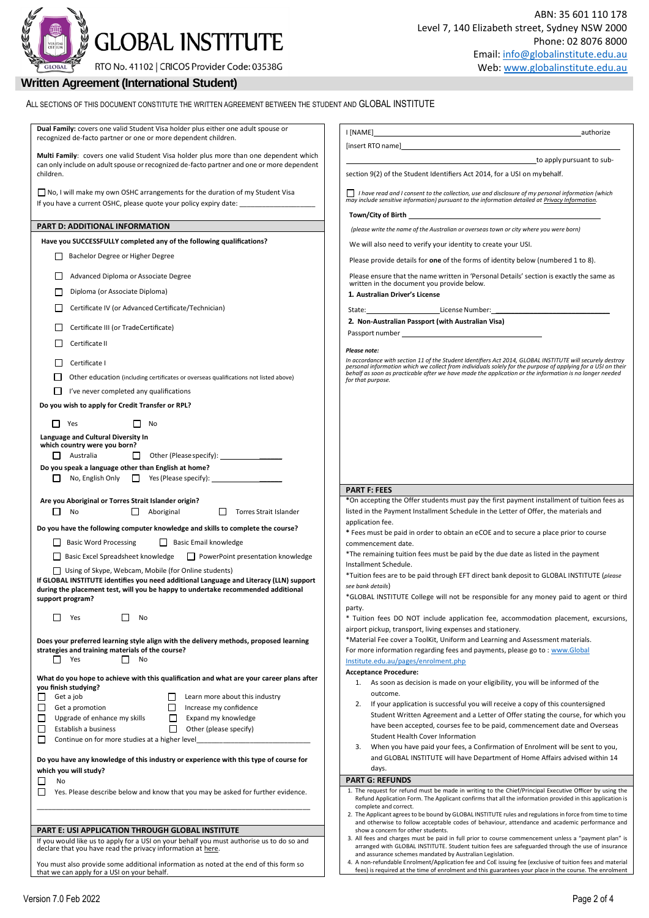**GLOBAL INSTITUTE** 

RTO No. 41102 | CRICOS Provider Code: 03538G

## **Written Agreement (International Student)**

| Dual Family: covers one valid Student Visa holder plus either one adult spouse or<br>recognized de-facto partner or one or more dependent children.                        | authorize                                                                                                                                                                                                                           |
|----------------------------------------------------------------------------------------------------------------------------------------------------------------------------|-------------------------------------------------------------------------------------------------------------------------------------------------------------------------------------------------------------------------------------|
| Multi Family: covers one valid Student Visa holder plus more than one dependent which                                                                                      |                                                                                                                                                                                                                                     |
| can only include on adult spouse or recognized de-facto partner and one or more dependent<br>children.                                                                     | to apply pursuant to sub-<br>section 9(2) of the Student Identifiers Act 2014, for a USI on mybehalf.                                                                                                                               |
| □ No, I will make my own OSHC arrangements for the duration of my Student Visa<br>If you have a current OSHC, please quote your policy expiry date: _______________        | I have read and I consent to the collection, use and disclosure of my personal information (which may include sensitive information) pursuant to the information detailed at Privacy Information.                                   |
|                                                                                                                                                                            |                                                                                                                                                                                                                                     |
| PART D: ADDITIONAL INFORMATION                                                                                                                                             | (please write the name of the Australian or overseas town or city where you were born)                                                                                                                                              |
| Have you SUCCESSFULLY completed any of the following qualifications?                                                                                                       | We will also need to verify your identity to create your USI.                                                                                                                                                                       |
| Bachelor Degree or Higher Degree                                                                                                                                           | Please provide details for one of the forms of identity below (numbered 1 to 8).                                                                                                                                                    |
| Advanced Diploma or Associate Degree                                                                                                                                       | Please ensure that the name written in 'Personal Details' section is exactly the same as<br>written in the document you provide below.                                                                                              |
| Diploma (or Associate Diploma)                                                                                                                                             | 1. Australian Driver's License                                                                                                                                                                                                      |
| Certificate IV (or Advanced Certificate/Technician)                                                                                                                        | State: ____________________________License Number: _____________________________                                                                                                                                                    |
| Certificate III (or TradeCertificate)                                                                                                                                      | 2. Non-Australian Passport (with Australian Visa)                                                                                                                                                                                   |
|                                                                                                                                                                            |                                                                                                                                                                                                                                     |
| Certificate II                                                                                                                                                             | Please note:                                                                                                                                                                                                                        |
| Certificate I                                                                                                                                                              | In accordance with section 11 of the Student Identifiers Act 2014, GLOBAL INSTITUTE will securely destroy<br>personal information which we collect from individuals solely for the purpose of applying for a USI on their<br>behalf |
| Other education (including certificates or overseas qualifications not listed above)                                                                                       | for that purpose.                                                                                                                                                                                                                   |
| I've never completed any qualifications<br>ப                                                                                                                               |                                                                                                                                                                                                                                     |
| Do you wish to apply for Credit Transfer or RPL?                                                                                                                           |                                                                                                                                                                                                                                     |
| $\Box$ Yes<br>No<br>$\Box$                                                                                                                                                 |                                                                                                                                                                                                                                     |
| Language and Cultural Diversity In                                                                                                                                         |                                                                                                                                                                                                                                     |
| which country were you born?<br>Other (Please specify): 0ther (Please specify):<br>$\Box$ Australia                                                                        |                                                                                                                                                                                                                                     |
| Do you speak a language other than English at home?                                                                                                                        |                                                                                                                                                                                                                                     |
| No, English Only <b>Canadian Prince Section</b> Pres (Please specify):                                                                                                     |                                                                                                                                                                                                                                     |
| Are you Aboriginal or Torres Strait Islander origin?                                                                                                                       | <b>PART F: FEES</b><br>*On accepting the Offer students must pay the first payment installment of tuition fees as                                                                                                                   |
| No<br>Aboriginal<br>Torres Strait Islander<br>$\Box$<br>$\Box$                                                                                                             | listed in the Payment Installment Schedule in the Letter of Offer, the materials and                                                                                                                                                |
| Do you have the following computer knowledge and skills to complete the course?                                                                                            | application fee.<br>* Fees must be paid in order to obtain an eCOE and to secure a place prior to course                                                                                                                            |
| <b>Basic Word Processing</b><br>Basic Email knowledge<br>ப                                                                                                                 | commencement date.                                                                                                                                                                                                                  |
| Basic Excel Spreadsheet knowledge<br>$\Box$ PowerPoint presentation knowledge                                                                                              | *The remaining tuition fees must be paid by the due date as listed in the payment<br>Installment Schedule.                                                                                                                          |
| Using of Skype, Webcam, Mobile (for Online students)                                                                                                                       | *Tuition fees are to be paid through EFT direct bank deposit to GLOBAL INSTITUTE (please                                                                                                                                            |
| If GLOBAL INSTITUTE identifies you need additional Language and Literacy (LLN) support<br>during the placement test, will you be happy to undertake recommended additional | see bank details)                                                                                                                                                                                                                   |
| support program?                                                                                                                                                           | *GLOBAL INSTITUTE College will not be responsible for any money paid to agent or third                                                                                                                                              |
| $\Box$<br>Yes<br>No                                                                                                                                                        | party.<br>* Tuition fees DO NOT include application fee, accommodation placement, excursions,                                                                                                                                       |
|                                                                                                                                                                            | airport pickup, transport, living expenses and stationery.                                                                                                                                                                          |
| Does your preferred learning style align with the delivery methods, proposed learning<br>strategies and training materials of the course?                                  | *Material Fee cover a ToolKit, Uniform and Learning and Assessment materials.                                                                                                                                                       |
| П<br>Yes<br>No<br>l 1                                                                                                                                                      | For more information regarding fees and payments, please go to: www.Global<br>Institute.edu.au/pages/enrolment.php                                                                                                                  |
|                                                                                                                                                                            | <b>Acceptance Procedure:</b>                                                                                                                                                                                                        |
| What do you hope to achieve with this qualification and what are your career plans after<br>you finish studying?                                                           | 1. As soon as decision is made on your eligibility, you will be informed of the                                                                                                                                                     |
| □<br>Get a job<br>Learn more about this industry<br>ப                                                                                                                      | outcome.<br>If your application is successful you will receive a copy of this countersigned<br>2.                                                                                                                                   |
| □<br>Get a promotion<br>Increase my confidence<br>□<br>□<br>Upgrade of enhance my skills<br>Expand my knowledge                                                            | Student Written Agreement and a Letter of Offer stating the course, for which you                                                                                                                                                   |
| □<br>Establish a business<br>$\perp$<br>Other (please specify)                                                                                                             | have been accepted, courses fee to be paid, commencement date and Overseas                                                                                                                                                          |
| $\Box$<br>Continue on for more studies at a higher level                                                                                                                   | <b>Student Health Cover Information</b><br>When you have paid your fees, a Confirmation of Enrolment will be sent to you,<br>3.                                                                                                     |
| Do you have any knowledge of this industry or experience with this type of course for                                                                                      | and GLOBAL INSTITUTE will have Department of Home Affairs advised within 14                                                                                                                                                         |
| which you will study?                                                                                                                                                      | days.                                                                                                                                                                                                                               |
| No<br>$\Box$                                                                                                                                                               | <b>PART G: REFUNDS</b>                                                                                                                                                                                                              |
| $\Box$<br>Yes. Please describe below and know that you may be asked for further evidence.                                                                                  | 1. The request for refund must be made in writing to the Chief/Principal Executive Officer by using the<br>Refund Application Form. The Applicant confirms that all the information provided in this application is                 |
|                                                                                                                                                                            | complete and correct.<br>2. The Applicant agrees to be bound by GLOBAL INSTITUTE rules and regulations in force from time to time                                                                                                   |
| <b>PART E: USI APPLICATION THROUGH GLOBAL INSTITUTE</b>                                                                                                                    | and otherwise to follow acceptable codes of behaviour, attendance and academic performance and                                                                                                                                      |
| If you would like us to apply for a USI on your behalf you must authorise us to do so and                                                                                  | show a concern for other students.<br>3. All fees and charges must be paid in full prior to course commencement unless a "payment plan" is                                                                                          |
| declare that you have read the privacy information at here.                                                                                                                | arranged with GLOBAL INSTITUTE. Student tuition fees are safeguarded through the use of insurance<br>and assurance schemes mandated by Australian Legislation.                                                                      |
| You must also provide some additional information as noted at the end of this form so                                                                                      | 4. A non-refundable Enrolment/Application fee and CoE issuing fee (exclusive of tuition fees and material                                                                                                                           |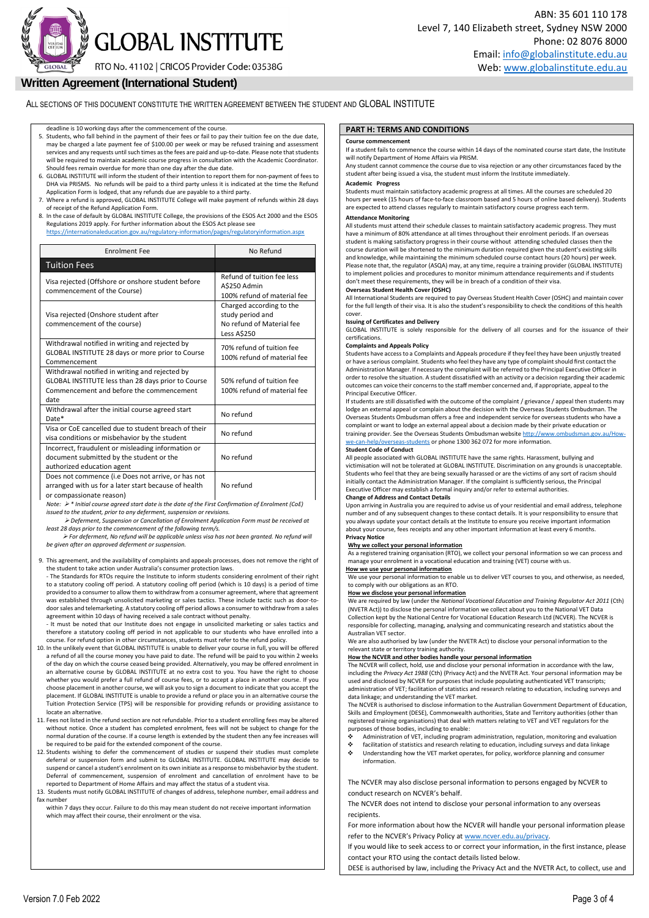**GLOBAL INSTITUTE** 

RTO No. 41102 | CRICOS Provider Code: 03538G

## **Written Agreement (International Student)**

ALL SECTIONS OF THIS DOCUMENT CONSTITUTE THE WRITTEN AGREEMENT BETWEEN THE STUDENT AND GLOBAL INSTITUTE

deadline is 10 working days after the commencement of the course.

- 5. Students, who fall behind in the payment of their fees or fail to pay their tuition fee on the due date, may be charged a late payment fee of \$100.00 per week or may be refused training and assessment services and any requests until such times as the fees are paid and up-to-date. Please note that students will be required to maintain academic course progress in consultation with the Academic Coordinator. Should fees remain overdue for more than one day after the due date.
- 6. GLOBAL INSTITUTE will inform the student of their intention to report them for non-payment of fees to DHA via PRISMS. No refunds will be paid to a third party unless it is indicated at the time the Refund
- Application Form is lodged, that any refunds due are payable to a third party. 7. Where a refund is approved, GLOBAL INSTITUTE College will make payment of refunds within 28 days of receipt of the Refund Application Form.
- 8. In the case of default by GLOBAL INSTITUTE College, the provisions of the ESOS Act 2000 and the ESOS Regulations 2019 apply. For further information about the ESOS Act please see

| https://internationaleducation.gov.au/regulatory-information/pages/regulatoryinformation.aspx |           |
|-----------------------------------------------------------------------------------------------|-----------|
| Enrolment Fee                                                                                 | No Refund |
|                                                                                               |           |

| <b>Tuition Fees</b>                                                                                                                                      |                                                                                                                                |
|----------------------------------------------------------------------------------------------------------------------------------------------------------|--------------------------------------------------------------------------------------------------------------------------------|
| Visa rejected (Offshore or onshore student before<br>commencement of the Course)                                                                         | Refund of tuition fee less<br>A\$250 Admin<br>100% refund of material fee                                                      |
| Visa rejected (Onshore student after<br>commencement of the course)                                                                                      | Charged according to the<br>study period and<br>No refund of Material fee<br><b>Less A\$250</b>                                |
| Withdrawal notified in writing and rejected by<br>GLOBAL INSTITUTE 28 days or more prior to Course<br>Commencement                                       | 70% refund of tuition fee<br>100% refund of material fee                                                                       |
| Withdrawal notified in writing and rejected by<br>GLOBAL INSTITUTE less than 28 days prior to Course<br>Commencement and before the commencement<br>date | 50% refund of tuition fee<br>100% refund of material fee                                                                       |
| Withdrawal after the initial course agreed start<br>Date*                                                                                                | No refund                                                                                                                      |
| Visa or CoE cancelled due to student breach of their<br>visa conditions or misbehavior by the student                                                    | No refund                                                                                                                      |
| Incorrect, fraudulent or misleading information or<br>document submitted by the student or the<br>authorized education agent                             | No refund                                                                                                                      |
| Does not commence (i.e Does not arrive, or has not<br>arranged with us for a later start because of health<br>or compassionate reason)                   | No refund<br>$\mathcal{L}$ , and $\mathcal{L}$ , and $\mathcal{L}$ , and $\mathcal{L}$ , and $\mathcal{L}$ , and $\mathcal{L}$ |

*Note: \* Initial course agreed start date is the date of the First Confirmation of Enrolment (CoE) issued to the student, prior to any deferment, suspension or revision* 

 *Deferment, Suspension or Cancellation of Enrolment Application Form must be received at least 28 days prior to the commencement of the following term/s.*

 *For deferment, No refund will be applicable unless visa has not been granted. No refund will be given after an approved deferment or suspension.* 

9. This agreement, and the availability of complaints and appeals processes, does not remove the right of the student to take action under Australia's consumer protection laws.

- The Standards for RTOs require the Institute to inform students considering enrolment of their right to a statutory cooling off period. A statutory cooling off period (which is 10 days) is a period of time provided to a consumer to allow them to withdraw from a consumer agreement, where that agreement was established through unsolicited marketing or sales tactics. These include tactic such as door-todoor sales and telemarketing. A statutory cooling off period allows a consumer to withdraw from a sales agreement within 10 days of having received a sale contract without penalty.<br>- It must be noted that our Institute does not engage in unsolicited marketing or sales tactics and

therefore a statutory cooling off period in not applicable to our students who have enrolled into a course. For refund option in other circumstances, students must refer to the refund policy.

- 10. In the unlikely event that GLOBAL INSTITUTE is unable to deliver your course in full, you will be offered a refund of all the course money you have paid to date. The refund will be paid to you within 2 weeks of the day on which the course ceased being provided. Alternatively, you may be offered enrolment in an alternative course by GLOBAL INSTITUTE at no extra cost to you. You have the right to choose whether you would prefer a full refund of course fees, or to accept a place in another course. If you choose placement in another course, we will ask you to sign a document to indicate that you accept the placement. If GLOBAL INSTITUTE is unable to provide a refund or place you in an alternative course the Tuition Protection Service (TPS) will be responsible for providing refunds or providing assistance to locate an alternative.
- 11. Fees not listed in the refund section are not refundable. Prior to a student enrolling fees may be altered without notice. Once a student has completed enrolment, fees will not be subject to change for the normal duration of the course. If a course length is extended by the student then any fee increases will be required to be paid for the extended component of the course.
- 12. Students wishing to defer the commencement of studies or suspend their studies must complete deferral or suspension form and submit to GLOBAL INSTITUTE. GLOBAL INSTITUTE may decide to suspend or cancel a student's enrolment on its own initiate as a response to misbehavior by the student. Deferral of commencement, suspension of enrolment and cancellation of enrolment have to be reported to Department of Home Affairs and may affect the status of a student visa.
- 13. Students must notify GLOBAL INSTITUTE of changes of address, telephone number, email address and fax number

within 7 days they occur. Failure to do this may mean student do not receive important information which may affect their course, their enrolment or the visa.

#### **PART H: TERMS AND CONDITIONS**

#### **Course commencement**

If a student fails to commence the course within 14 days of the nominated course start date, the Institute will notify Department of Home Affairs via PRISM.

Any student cannot commence the course due to visa rejection or any other circumstances faced by the student after being issued a visa, the student must inform the Institute immediately.

#### **Academic Progress**

Students must maintain satisfactory academic progress at all times. All the courses are scheduled 20 hours per week (15 hours of face-to-face classroom based and 5 hours of online based delivery). Students are expected to attend classes regularly to maintain satisfactory course progress each term **Attendance Monitoring** 

All students must attend their schedule classes to maintain satisfactory academic progress. They must have a minimum of 80% attendance at all times throughout their enrolment periods. If an overseas student is making satisfactory progress in their course without attending scheduled classes then the course duration will be shortened to the minimum duration required given the student's existing skills and knowledge, while maintaining the minimum scheduled course contact hours (20 hours) per week. Please note that, the regulator (ASQA) may, at any time, require a training provider (GLOBAL INSTITUTE) to implement policies and procedures to monitor minimum attendance requirements and if students don't meet these requirements, they will be in breach of a condition of their visa.

#### **Overseas Student Health Cover (OSHC)**

All International Students are required to pay Overseas Student Health Cover (OSHC) and maintain cover for the full length of their visa. It is also the student's responsibility to check the conditions of this health cover.

#### **Issuing of Certificates and Delivery**

GLOBAL INSTITUTE is solely responsible for the delivery of all courses and for the issuance of their certifications.

#### **Complaints and Appeals Policy**

Students have accessto a Complaints and Appeals procedure if they feel they have been unjustly treated or have a serious complaint. Students who feel they have any type of complaintshould first contact the Administration Manager. If necessary the complaint will be referred to the Principal Executive Officer in order to resolve the situation. A student dissatisfied with an activity or a decision regarding their academic outcomes can voice their concernsto the staff member concerned and, if appropriate, appeal to the Principal Executive Officer.

If students are still dissatisfied with the outcome of the complaint / grievance / appeal then students may lodge an external appeal or complain about the decision with the Overseas Students Ombudsman. The Overseas Students Ombudsman offers a free and independent service for overseas students who have a complaint or want to lodge an external appeal about a decision made by their private education or training provider. See the Overseas Students Ombudsman website http://www.ombudsman.gov.au/How [we-can-help/overseas-students](http://www.ombudsman.gov.au/How-we-can-help/overseas-students) or phone 1300 362 072 for more information.

#### **Student Code of Conduct**

All people associated with GLOBAL INSTITUTE have the same rights. Harassment, bullying and victimisation will not be tolerated at GLOBAL INSTITUTE. Discrimination on any grounds is unacceptable. Students who feel that they are being sexually harassed or are the victims of any sort of racism should initially contact the Administration Manager. If the complaint is sufficiently serious, the Principal Executive Officer may establish a formal inquiry and/or refer to external authoritie

#### **Change of Address and Contact Details**

Upon arriving in Australia you are required to advise us of your residential and email address, telephone number and of any subsequent changes to these contact details. It is your responsibility to ensure that you always update your contact details at the Institute to ensure you receive important information about your course, fees receipts and any other important information at least every 6 months. **Privacy Notice**

#### **Why we collect your personal information**

As a registered training organisation (RTO), we collect your personal information so we can process and manage your enrolment in a vocational education and training (VET) course with us. **How we use your personal information**

We use your personal information to enable us to deliver VET courses to you, and otherwise, as needed, to comply with our obligations as an RTO.

#### **How we disclose your personal information**

We are required by law (under the *National Vocational Education and Training Regulator Act 2011* (Cth) (NVETR Act)) to disclose the personal information we collect about you to the National VET Data Collection kept by the National Centre for Vocational Education Research Ltd (NCVER). The NCVER is responsible for collecting, managing, analysing and communicating research and statistics about the Australian VET sector.

We are also authorised by law (under the NVETR Act) to disclose your personal information to the relevant state or territory training authority.

#### **How the NCVER and other bodies handle your personal information**

The NCVER will collect, hold, use and disclose your personal information in accordance with the law, including the *Privacy Act 1988* (Cth) (Privacy Act) and the NVETR Act. Your personal information may be used and disclosed by NCVER for purposes that include populating authenticated VET transcripts; administration of VET; facilitation of statistics and research relating to education, including surveys and data linkage; and understanding the VET market.

The NCVER is authorised to disclose information to the Australian Government Department of Education, Skills and Employment (DESE), Commonwealth authorities, State and Territory authorities (other than registered training organisations) that deal with matters relating to VET and VET regulators for the purposes of those bodies, including to enable:

- Administration of VET, including program administration, regulation, monitoring and evaluation
- facilitation of statistics and research relating to education, including surveys and data linkage Understanding how the VET market operates, for policy, workforce planning and consumer information.

The NCVER may also disclose personal information to persons engaged by NCVER to conduct research on NCVER's behalf.

The NCVER does not intend to disclose your personal information to any overseas recipients.

For more information about how the NCVER will handle your personal information please refer to the NCVER's Privacy Policy at [www.ncver.edu.au/privacy.](http://www.ncver.edu.au/privacy)

If you would like to seek access to or correct your information, in the first instance, please contact your RTO using the contact details listed below.

DESE is authorised by law, including the Privacy Act and the NVETR Act, to collect, use and